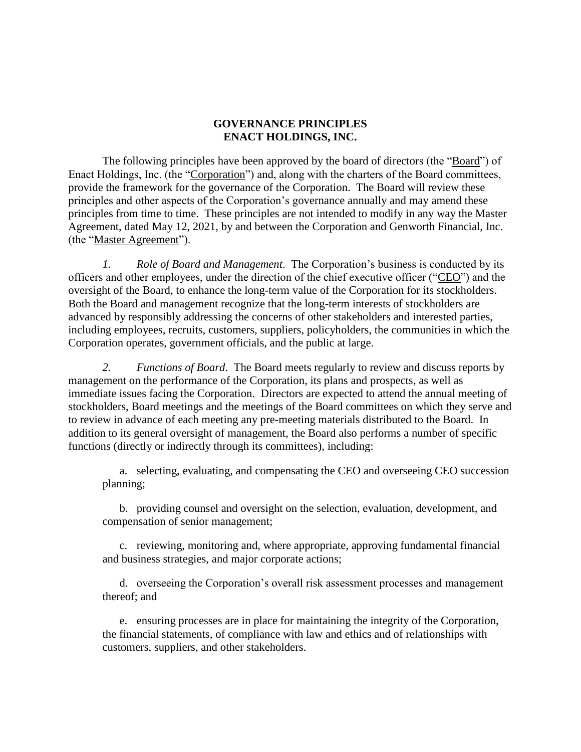## **GOVERNANCE PRINCIPLES ENACT HOLDINGS, INC.**

The following principles have been approved by the board of directors (the "Board") of Enact Holdings, Inc. (the "Corporation") and, along with the charters of the Board committees, provide the framework for the governance of the Corporation. The Board will review these principles and other aspects of the Corporation's governance annually and may amend these principles from time to time. These principles are not intended to modify in any way the Master Agreement, dated May 12, 2021, by and between the Corporation and Genworth Financial, Inc. (the "Master Agreement").

*1. Role of Board and Management*. The Corporation's business is conducted by its officers and other employees, under the direction of the chief executive officer ("CEO") and the oversight of the Board, to enhance the long-term value of the Corporation for its stockholders. Both the Board and management recognize that the long-term interests of stockholders are advanced by responsibly addressing the concerns of other stakeholders and interested parties, including employees, recruits, customers, suppliers, policyholders, the communities in which the Corporation operates, government officials, and the public at large.

*2. Functions of Board*. The Board meets regularly to review and discuss reports by management on the performance of the Corporation, its plans and prospects, as well as immediate issues facing the Corporation. Directors are expected to attend the annual meeting of stockholders, Board meetings and the meetings of the Board committees on which they serve and to review in advance of each meeting any pre-meeting materials distributed to the Board. In addition to its general oversight of management, the Board also performs a number of specific functions (directly or indirectly through its committees), including:

a. selecting, evaluating, and compensating the CEO and overseeing CEO succession planning;

b. providing counsel and oversight on the selection, evaluation, development, and compensation of senior management;

c. reviewing, monitoring and, where appropriate, approving fundamental financial and business strategies, and major corporate actions;

d. overseeing the Corporation's overall risk assessment processes and management thereof; and

e. ensuring processes are in place for maintaining the integrity of the Corporation, the financial statements, of compliance with law and ethics and of relationships with customers, suppliers, and other stakeholders.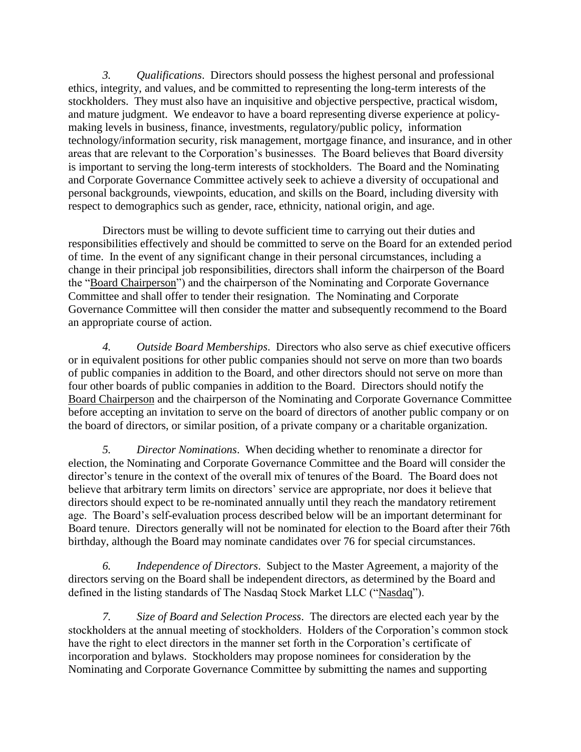*3. Qualifications*. Directors should possess the highest personal and professional ethics, integrity, and values, and be committed to representing the long-term interests of the stockholders. They must also have an inquisitive and objective perspective, practical wisdom, and mature judgment. We endeavor to have a board representing diverse experience at policymaking levels in business, finance, investments, regulatory/public policy, information technology/information security, risk management, mortgage finance, and insurance, and in other areas that are relevant to the Corporation's businesses. The Board believes that Board diversity is important to serving the long-term interests of stockholders. The Board and the Nominating and Corporate Governance Committee actively seek to achieve a diversity of occupational and personal backgrounds, viewpoints, education, and skills on the Board, including diversity with respect to demographics such as gender, race, ethnicity, national origin, and age.

Directors must be willing to devote sufficient time to carrying out their duties and responsibilities effectively and should be committed to serve on the Board for an extended period of time. In the event of any significant change in their personal circumstances, including a change in their principal job responsibilities, directors shall inform the chairperson of the Board the "Board Chairperson") and the chairperson of the Nominating and Corporate Governance Committee and shall offer to tender their resignation. The Nominating and Corporate Governance Committee will then consider the matter and subsequently recommend to the Board an appropriate course of action.

*4. Outside Board Memberships*.Directors who also serve as chief executive officers or in equivalent positions for other public companies should not serve on more than two boards of public companies in addition to the Board, and other directors should not serve on more than four other boards of public companies in addition to the Board. Directors should notify the Board Chairperson and the chairperson of the Nominating and Corporate Governance Committee before accepting an invitation to serve on the board of directors of another public company or on the board of directors, or similar position, of a private company or a charitable organization.

*5. Director Nominations*. When deciding whether to renominate a director for election, the Nominating and Corporate Governance Committee and the Board will consider the director's tenure in the context of the overall mix of tenures of the Board. The Board does not believe that arbitrary term limits on directors' service are appropriate, nor does it believe that directors should expect to be re-nominated annually until they reach the mandatory retirement age. The Board's self-evaluation process described below will be an important determinant for Board tenure. Directors generally will not be nominated for election to the Board after their 76th birthday, although the Board may nominate candidates over 76 for special circumstances.

*6. Independence of Directors*. Subject to the Master Agreement, a majority of the directors serving on the Board shall be independent directors, as determined by the Board and defined in the listing standards of The Nasdaq Stock Market LLC ("Nasdaq").

*7. Size of Board and Selection Process*. The directors are elected each year by the stockholders at the annual meeting of stockholders. Holders of the Corporation's common stock have the right to elect directors in the manner set forth in the Corporation's certificate of incorporation and bylaws. Stockholders may propose nominees for consideration by the Nominating and Corporate Governance Committee by submitting the names and supporting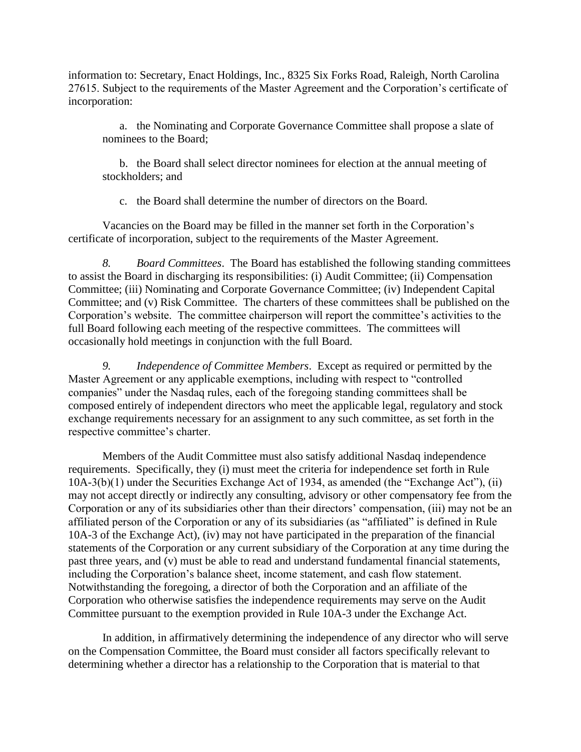information to: Secretary, Enact Holdings, Inc., 8325 Six Forks Road, Raleigh, North Carolina 27615. Subject to the requirements of the Master Agreement and the Corporation's certificate of incorporation:

a. the Nominating and Corporate Governance Committee shall propose a slate of nominees to the Board;

b. the Board shall select director nominees for election at the annual meeting of stockholders; and

c. the Board shall determine the number of directors on the Board.

Vacancies on the Board may be filled in the manner set forth in the Corporation's certificate of incorporation, subject to the requirements of the Master Agreement.

*8. Board Committees*. The Board has established the following standing committees to assist the Board in discharging its responsibilities: (i) Audit Committee; (ii) Compensation Committee; (iii) Nominating and Corporate Governance Committee; (iv) Independent Capital Committee; and (v) Risk Committee. The charters of these committees shall be published on the Corporation's website. The committee chairperson will report the committee's activities to the full Board following each meeting of the respective committees. The committees will occasionally hold meetings in conjunction with the full Board.

*9. Independence of Committee Members*. Except as required or permitted by the Master Agreement or any applicable exemptions, including with respect to "controlled companies" under the Nasdaq rules, each of the foregoing standing committees shall be composed entirely of independent directors who meet the applicable legal, regulatory and stock exchange requirements necessary for an assignment to any such committee, as set forth in the respective committee's charter.

Members of the Audit Committee must also satisfy additional Nasdaq independence requirements. Specifically, they (i) must meet the criteria for independence set forth in Rule 10A-3(b)(1) under the Securities Exchange Act of 1934, as amended (the "Exchange Act"), (ii) may not accept directly or indirectly any consulting, advisory or other compensatory fee from the Corporation or any of its subsidiaries other than their directors' compensation, (iii) may not be an affiliated person of the Corporation or any of its subsidiaries (as "affiliated" is defined in Rule 10A-3 of the Exchange Act), (iv) may not have participated in the preparation of the financial statements of the Corporation or any current subsidiary of the Corporation at any time during the past three years, and (v) must be able to read and understand fundamental financial statements, including the Corporation's balance sheet, income statement, and cash flow statement. Notwithstanding the foregoing, a director of both the Corporation and an affiliate of the Corporation who otherwise satisfies the independence requirements may serve on the Audit Committee pursuant to the exemption provided in Rule 10A-3 under the Exchange Act.

In addition, in affirmatively determining the independence of any director who will serve on the Compensation Committee, the Board must consider all factors specifically relevant to determining whether a director has a relationship to the Corporation that is material to that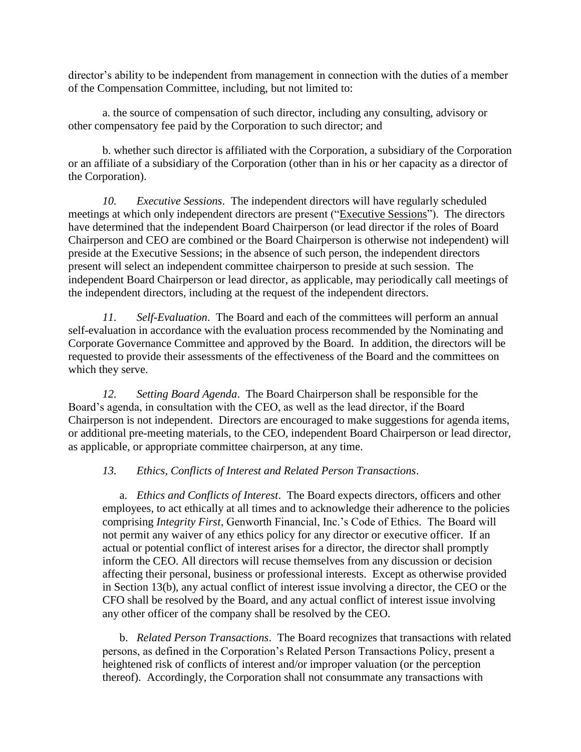director's ability to be independent from management in connection with the duties of a member of the Compensation Committee, including, but not limited to:

a. the source of compensation of such director, including any consulting, advisory or other compensatory fee paid by the Corporation to such director; and

b. whether such director is affiliated with the Corporation, a subsidiary of the Corporation or an affiliate of a subsidiary of the Corporation (other than in his or her capacity as a director of the Corporation).

*10. Executive Sessions*. The independent directors will have regularly scheduled meetings at which only independent directors are present ("Executive Sessions").The directors have determined that the independent Board Chairperson (or lead director if the roles of Board Chairperson and CEO are combined or the Board Chairperson is otherwise not independent) will preside at the Executive Sessions; in the absence of such person, the independent directors present will select an independent committee chairperson to preside at such session. The independent Board Chairperson or lead director, as applicable, may periodically call meetings of the independent directors, including at the request of the independent directors.

*11. Self-Evaluation*. The Board and each of the committees will perform an annual self-evaluation in accordance with the evaluation process recommended by the Nominating and Corporate Governance Committee and approved by the Board. In addition, the directors will be requested to provide their assessments of the effectiveness of the Board and the committees on which they serve.

*12. Setting Board Agenda*. The Board Chairperson shall be responsible for the Board's agenda, in consultation with the CEO, as well as the lead director, if the Board Chairperson is not independent. Directors are encouraged to make suggestions for agenda items, or additional pre-meeting materials, to the CEO, independent Board Chairperson or lead director, as applicable, or appropriate committee chairperson, at any time.

## *13. Ethics, Conflicts of Interest and Related Person Transactions*.

a. *Ethics and Conflicts of Interest*. The Board expects directors, officers and other employees, to act ethically at all times and to acknowledge their adherence to the policies comprising *Integrity First*, Genworth Financial, Inc.'s Code of Ethics. The Board will not permit any waiver of any ethics policy for any director or executive officer. If an actual or potential conflict of interest arises for a director, the director shall promptly inform the CEO. All directors will recuse themselves from any discussion or decision affecting their personal, business or professional interests. Except as otherwise provided in Section 13(b), any actual conflict of interest issue involving a director, the CEO or the CFO shall be resolved by the Board, and any actual conflict of interest issue involving any other officer of the company shall be resolved by the CEO.

b. *Related Person Transactions*. The Board recognizes that transactions with related persons, as defined in the Corporation's Related Person Transactions Policy, present a heightened risk of conflicts of interest and/or improper valuation (or the perception thereof). Accordingly, the Corporation shall not consummate any transactions with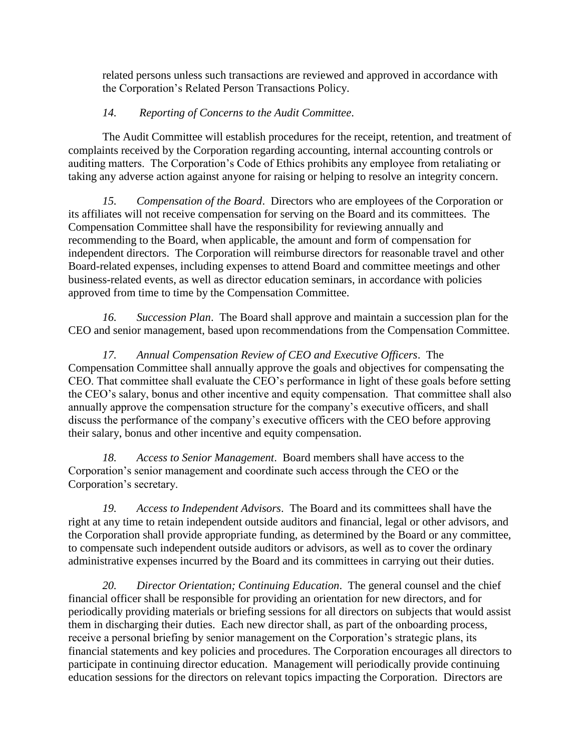related persons unless such transactions are reviewed and approved in accordance with the Corporation's Related Person Transactions Policy.

## *14. Reporting of Concerns to the Audit Committee*.

The Audit Committee will establish procedures for the receipt, retention, and treatment of complaints received by the Corporation regarding accounting, internal accounting controls or auditing matters. The Corporation's Code of Ethics prohibits any employee from retaliating or taking any adverse action against anyone for raising or helping to resolve an integrity concern.

*15. Compensation of the Board*. Directors who are employees of the Corporation or its affiliates will not receive compensation for serving on the Board and its committees. The Compensation Committee shall have the responsibility for reviewing annually and recommending to the Board, when applicable, the amount and form of compensation for independent directors. The Corporation will reimburse directors for reasonable travel and other Board-related expenses, including expenses to attend Board and committee meetings and other business-related events, as well as director education seminars, in accordance with policies approved from time to time by the Compensation Committee.

*16. Succession Plan*. The Board shall approve and maintain a succession plan for the CEO and senior management, based upon recommendations from the Compensation Committee.

*17. Annual Compensation Review of CEO and Executive Officers*. The Compensation Committee shall annually approve the goals and objectives for compensating the CEO. That committee shall evaluate the CEO's performance in light of these goals before setting the CEO's salary, bonus and other incentive and equity compensation. That committee shall also annually approve the compensation structure for the company's executive officers, and shall discuss the performance of the company's executive officers with the CEO before approving their salary, bonus and other incentive and equity compensation.

*18. Access to Senior Management*. Board members shall have access to the Corporation's senior management and coordinate such access through the CEO or the Corporation's secretary.

*19. Access to Independent Advisors*. The Board and its committees shall have the right at any time to retain independent outside auditors and financial, legal or other advisors, and the Corporation shall provide appropriate funding, as determined by the Board or any committee, to compensate such independent outside auditors or advisors, as well as to cover the ordinary administrative expenses incurred by the Board and its committees in carrying out their duties.

*20. Director Orientation; Continuing Education*. The general counsel and the chief financial officer shall be responsible for providing an orientation for new directors, and for periodically providing materials or briefing sessions for all directors on subjects that would assist them in discharging their duties. Each new director shall, as part of the onboarding process, receive a personal briefing by senior management on the Corporation's strategic plans, its financial statements and key policies and procedures. The Corporation encourages all directors to participate in continuing director education. Management will periodically provide continuing education sessions for the directors on relevant topics impacting the Corporation. Directors are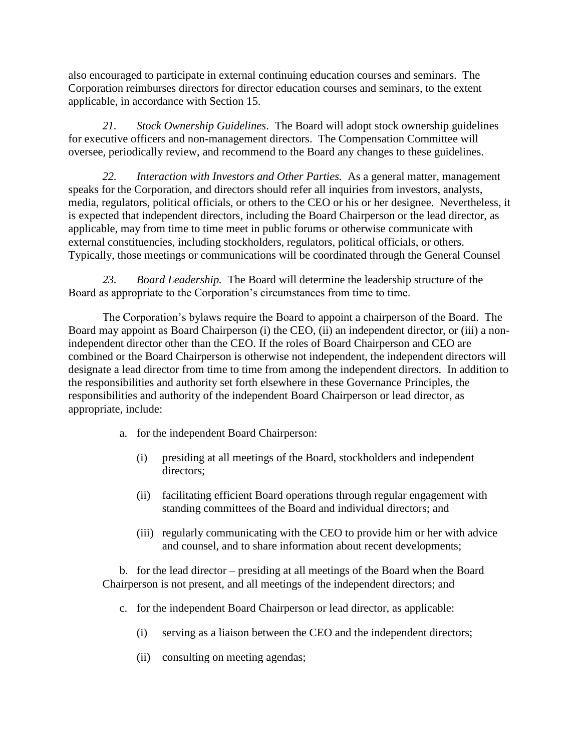also encouraged to participate in external continuing education courses and seminars. The Corporation reimburses directors for director education courses and seminars, to the extent applicable, in accordance with Section 15.

*21. Stock Ownership Guidelines*. The Board will adopt stock ownership guidelines for executive officers and non-management directors. The Compensation Committee will oversee, periodically review, and recommend to the Board any changes to these guidelines.

*22. Interaction with Investors and Other Parties.* As a general matter, management speaks for the Corporation, and directors should refer all inquiries from investors, analysts, media, regulators, political officials, or others to the CEO or his or her designee. Nevertheless, it is expected that independent directors, including the Board Chairperson or the lead director, as applicable, may from time to time meet in public forums or otherwise communicate with external constituencies, including stockholders, regulators, political officials, or others. Typically, those meetings or communications will be coordinated through the General Counsel

*23. Board Leadership.* The Board will determine the leadership structure of the Board as appropriate to the Corporation's circumstances from time to time.

The Corporation's bylaws require the Board to appoint a chairperson of the Board. The Board may appoint as Board Chairperson (i) the CEO, (ii) an independent director, or (iii) a nonindependent director other than the CEO. If the roles of Board Chairperson and CEO are combined or the Board Chairperson is otherwise not independent, the independent directors will designate a lead director from time to time from among the independent directors. In addition to the responsibilities and authority set forth elsewhere in these Governance Principles, the responsibilities and authority of the independent Board Chairperson or lead director, as appropriate, include:

- a. for the independent Board Chairperson:
	- (i) presiding at all meetings of the Board, stockholders and independent directors;
	- (ii) facilitating efficient Board operations through regular engagement with standing committees of the Board and individual directors; and
	- (iii) regularly communicating with the CEO to provide him or her with advice and counsel, and to share information about recent developments;

b. for the lead director – presiding at all meetings of the Board when the Board Chairperson is not present, and all meetings of the independent directors; and

- c. for the independent Board Chairperson or lead director, as applicable:
	- (i) serving as a liaison between the CEO and the independent directors;
	- (ii) consulting on meeting agendas;